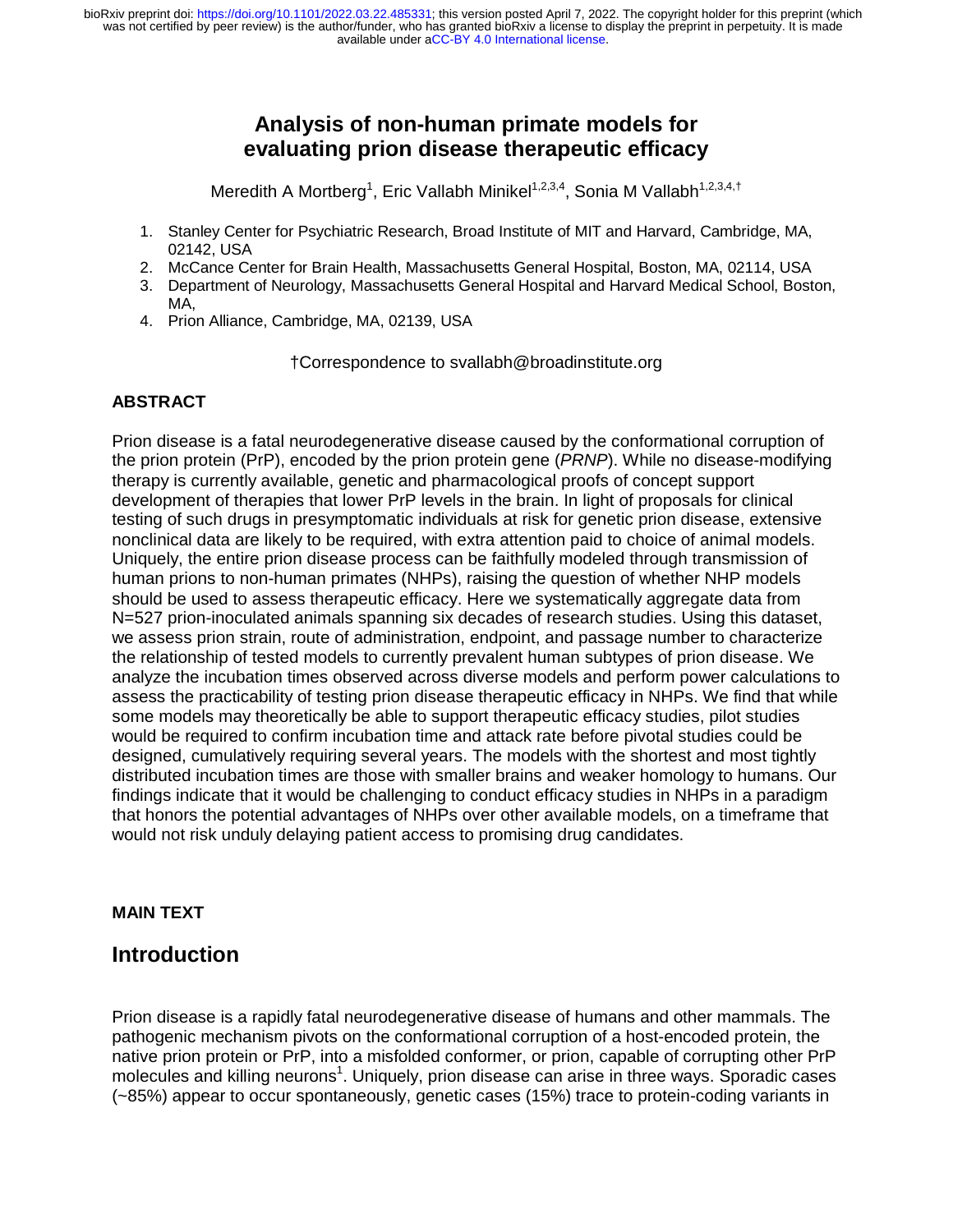# **Analysis of non-human primate models for evaluating prion disease therapeutic efficacy**

Meredith A Mortberg<sup>1</sup>, Eric Vallabh Minikel<sup>1,2,3,4</sup>, Sonia M Vallabh<sup>1,2,3,4,†</sup>

- 1. Stanley Center for Psychiatric Research, Broad Institute of MIT and Harvard, Cambridge, MA, 02142, USA
- 2. McCance Center for Brain Health, Massachusetts General Hospital, Boston, MA, 02114, USA
- 3. Department of Neurology, Massachusetts General Hospital and Harvard Medical School, Boston, MA,
- 4. Prion Alliance, Cambridge, MA, 02139, USA

†Correspondence to svallabh@broadinstitute.org

## **ABSTRACT**

Prion disease is a fatal neurodegenerative disease caused by the conformational corruption of the prion protein (PrP), encoded by the prion protein gene (*PRNP*). While no disease-modifying therapy is currently available, genetic and pharmacological proofs of concept support development of therapies that lower PrP levels in the brain. In light of proposals for clinical testing of such drugs in presymptomatic individuals at risk for genetic prion disease, extensive nonclinical data are likely to be required, with extra attention paid to choice of animal models. Uniquely, the entire prion disease process can be faithfully modeled through transmission of human prions to non-human primates (NHPs), raising the question of whether NHP models should be used to assess therapeutic efficacy. Here we systematically aggregate data from N=527 prion-inoculated animals spanning six decades of research studies. Using this dataset, we assess prion strain, route of administration, endpoint, and passage number to characterize the relationship of tested models to currently prevalent human subtypes of prion disease. We analyze the incubation times observed across diverse models and perform power calculations to assess the practicability of testing prion disease therapeutic efficacy in NHPs. We find that while some models may theoretically be able to support therapeutic efficacy studies, pilot studies would be required to confirm incubation time and attack rate before pivotal studies could be designed, cumulatively requiring several years. The models with the shortest and most tightly distributed incubation times are those with smaller brains and weaker homology to humans. Our findings indicate that it would be challenging to conduct efficacy studies in NHPs in a paradigm that honors the potential advantages of NHPs over other available models, on a timeframe that would not risk unduly delaying patient access to promising drug candidates.

## **MAIN TEXT**

## **Introduction**

Prion disease is a rapidly fatal neurodegenerative disease of humans and other mammals. The pathogenic mechanism pivots on the conformational corruption of a host-encoded protein, the native prion protein or PrP, into a misfolded conformer, or prion, capable of corrupting other PrP molecules and killing neurons<sup>1</sup>. Uniquely, prion disease can arise in three ways. Sporadic cases (~85%) appear to occur spontaneously, genetic cases (15%) trace to protein-coding variants in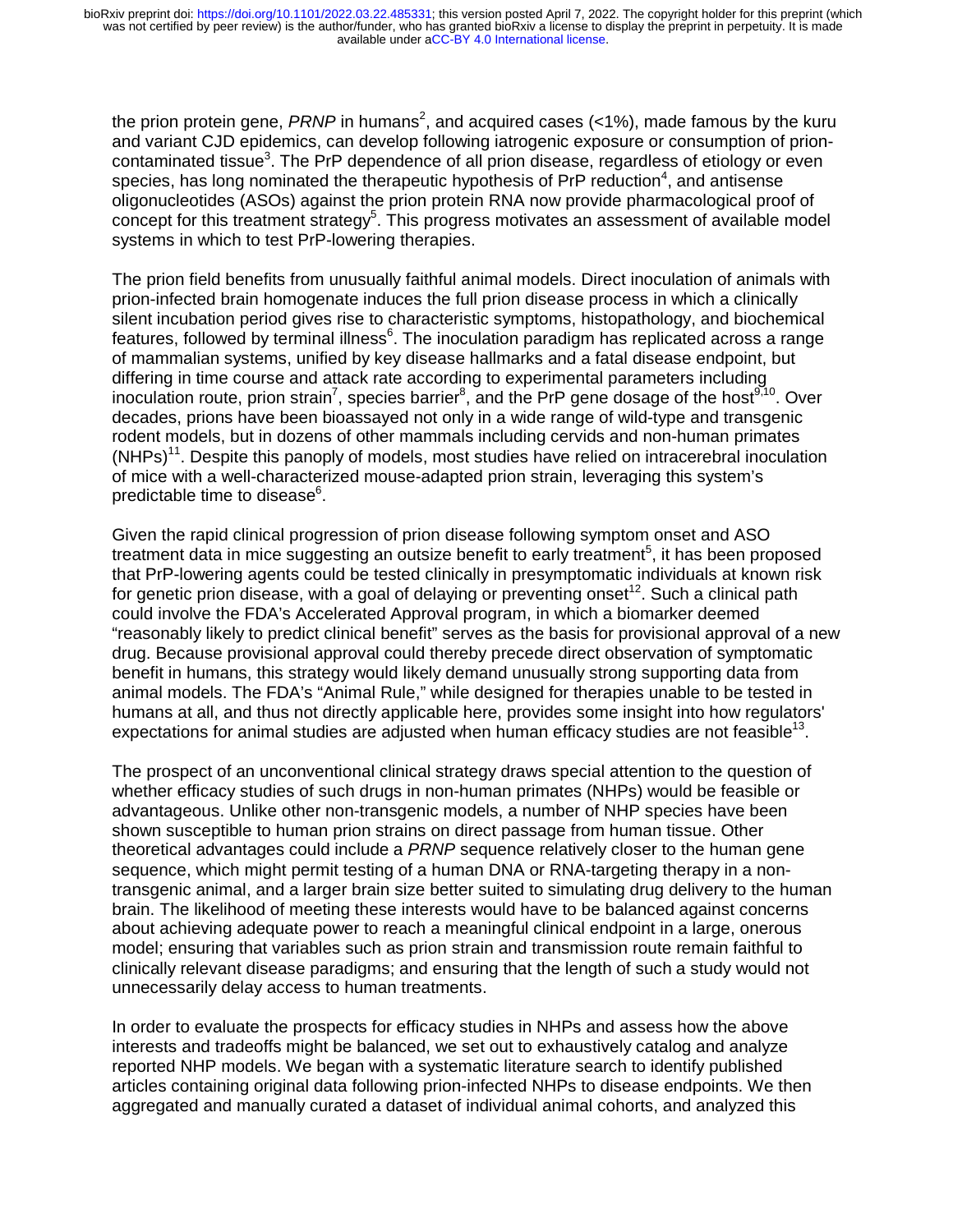the prion protein gene, *PRNP* in humans<sup>2</sup>, and acquired cases (<1%), made famous by the kuru and variant CJD epidemics, can develop following iatrogenic exposure or consumption of prioncontaminated tissue<sup>3</sup>. The PrP dependence of all prion disease, regardless of etiology or even species, has long nominated the therapeutic hypothesis of PrP reduction<sup>4</sup>, and antisense oligonucleotides (ASOs) against the prion protein RNA now provide pharmacological proof of concept for this treatment strategy<sup>5</sup>. This progress motivates an assessment of available model systems in which to test PrP-lowering therapies.

The prion field benefits from unusually faithful animal models. Direct inoculation of animals with prion-infected brain homogenate induces the full prion disease process in which a clinically silent incubation period gives rise to characteristic symptoms, histopathology, and biochemical features, followed by terminal illness<sup>6</sup>. The inoculation paradigm has replicated across a range of mammalian systems, unified by key disease hallmarks and a fatal disease endpoint, but differing in time course and attack rate according to experimental parameters including inoculation route, prion strain<sup>7</sup>, species barrier<sup>8</sup>, and the PrP gene dosage of the host<sup>9,10</sup>. Over decades, prions have been bioassayed not only in a wide range of wild-type and transgenic rodent models, but in dozens of other mammals including cervids and non-human primates  $(NHPs)^{11}$ . Despite this panoply of models, most studies have relied on intracerebral inoculation of mice with a well-characterized mouse-adapted prion strain, leveraging this system's predictable time to disease $^6$ .

Given the rapid clinical progression of prion disease following symptom onset and ASO treatment data in mice suggesting an outsize benefit to early treatment<sup>5</sup>, it has been proposed that PrP-lowering agents could be tested clinically in presymptomatic individuals at known risk for genetic prion disease, with a goal of delaying or preventing onset<sup>12</sup>. Such a clinical path could involve the FDA's Accelerated Approval program, in which a biomarker deemed "reasonably likely to predict clinical benefit" serves as the basis for provisional approval of a new drug. Because provisional approval could thereby precede direct observation of symptomatic benefit in humans, this strategy would likely demand unusually strong supporting data from animal models. The FDA's "Animal Rule," while designed for therapies unable to be tested in humans at all, and thus not directly applicable here, provides some insight into how regulators' expectations for animal studies are adjusted when human efficacy studies are not feasible<sup>13</sup>.

The prospect of an unconventional clinical strategy draws special attention to the question of whether efficacy studies of such drugs in non-human primates (NHPs) would be feasible or advantageous. Unlike other non-transgenic models, a number of NHP species have been shown susceptible to human prion strains on direct passage from human tissue. Other theoretical advantages could include a *PRNP* sequence relatively closer to the human gene sequence, which might permit testing of a human DNA or RNA-targeting therapy in a nontransgenic animal, and a larger brain size better suited to simulating drug delivery to the human brain. The likelihood of meeting these interests would have to be balanced against concerns about achieving adequate power to reach a meaningful clinical endpoint in a large, onerous model; ensuring that variables such as prion strain and transmission route remain faithful to clinically relevant disease paradigms; and ensuring that the length of such a study would not unnecessarily delay access to human treatments.

In order to evaluate the prospects for efficacy studies in NHPs and assess how the above interests and tradeoffs might be balanced, we set out to exhaustively catalog and analyze reported NHP models. We began with a systematic literature search to identify published articles containing original data following prion-infected NHPs to disease endpoints. We then aggregated and manually curated a dataset of individual animal cohorts, and analyzed this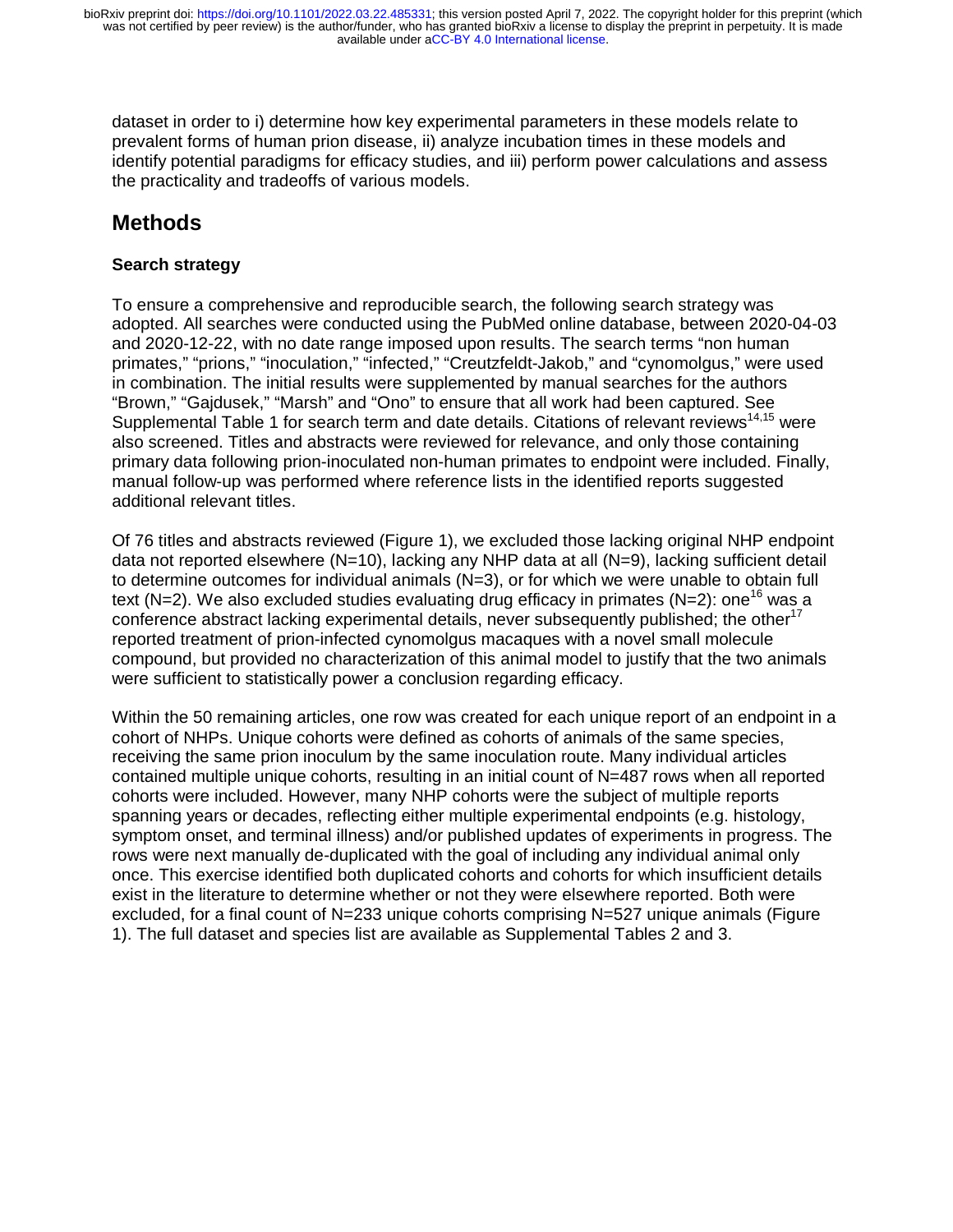dataset in order to i) determine how key experimental parameters in these models relate to prevalent forms of human prion disease, ii) analyze incubation times in these models and identify potential paradigms for efficacy studies, and iii) perform power calculations and assess the practicality and tradeoffs of various models.

# **Methods**

## **Search strategy**

To ensure a comprehensive and reproducible search, the following search strategy was adopted. All searches were conducted using the PubMed online database, between 2020-04-03 and 2020-12-22, with no date range imposed upon results. The search terms "non human primates," "prions," "inoculation," "infected," "Creutzfeldt-Jakob," and "cynomolgus," were used in combination. The initial results were supplemented by manual searches for the authors "Brown," "Gajdusek," "Marsh" and "Ono" to ensure that all work had been captured. See Supplemental Table 1 for search term and date details. Citations of relevant reviews<sup>14,15</sup> were also screened. Titles and abstracts were reviewed for relevance, and only those containing primary data following prion-inoculated non-human primates to endpoint were included. Finally, manual follow-up was performed where reference lists in the identified reports suggested additional relevant titles.

Of 76 titles and abstracts reviewed (Figure 1), we excluded those lacking original NHP endpoint data not reported elsewhere (N=10), lacking any NHP data at all (N=9), lacking sufficient detail to determine outcomes for individual animals (N=3), or for which we were unable to obtain full text (N=2). We also excluded studies evaluating drug efficacy in primates (N=2): one<sup>16</sup> was a conference abstract lacking experimental details, never subsequently published; the other<sup>17</sup> reported treatment of prion-infected cynomolgus macaques with a novel small molecule compound, but provided no characterization of this animal model to justify that the two animals were sufficient to statistically power a conclusion regarding efficacy.

Within the 50 remaining articles, one row was created for each unique report of an endpoint in a cohort of NHPs. Unique cohorts were defined as cohorts of animals of the same species, receiving the same prion inoculum by the same inoculation route. Many individual articles contained multiple unique cohorts, resulting in an initial count of N=487 rows when all reported cohorts were included. However, many NHP cohorts were the subject of multiple reports spanning years or decades, reflecting either multiple experimental endpoints (e.g. histology, symptom onset, and terminal illness) and/or published updates of experiments in progress. The rows were next manually de-duplicated with the goal of including any individual animal only once. This exercise identified both duplicated cohorts and cohorts for which insufficient details exist in the literature to determine whether or not they were elsewhere reported. Both were excluded, for a final count of N=233 unique cohorts comprising N=527 unique animals (Figure 1). The full dataset and species list are available as Supplemental Tables 2 and 3.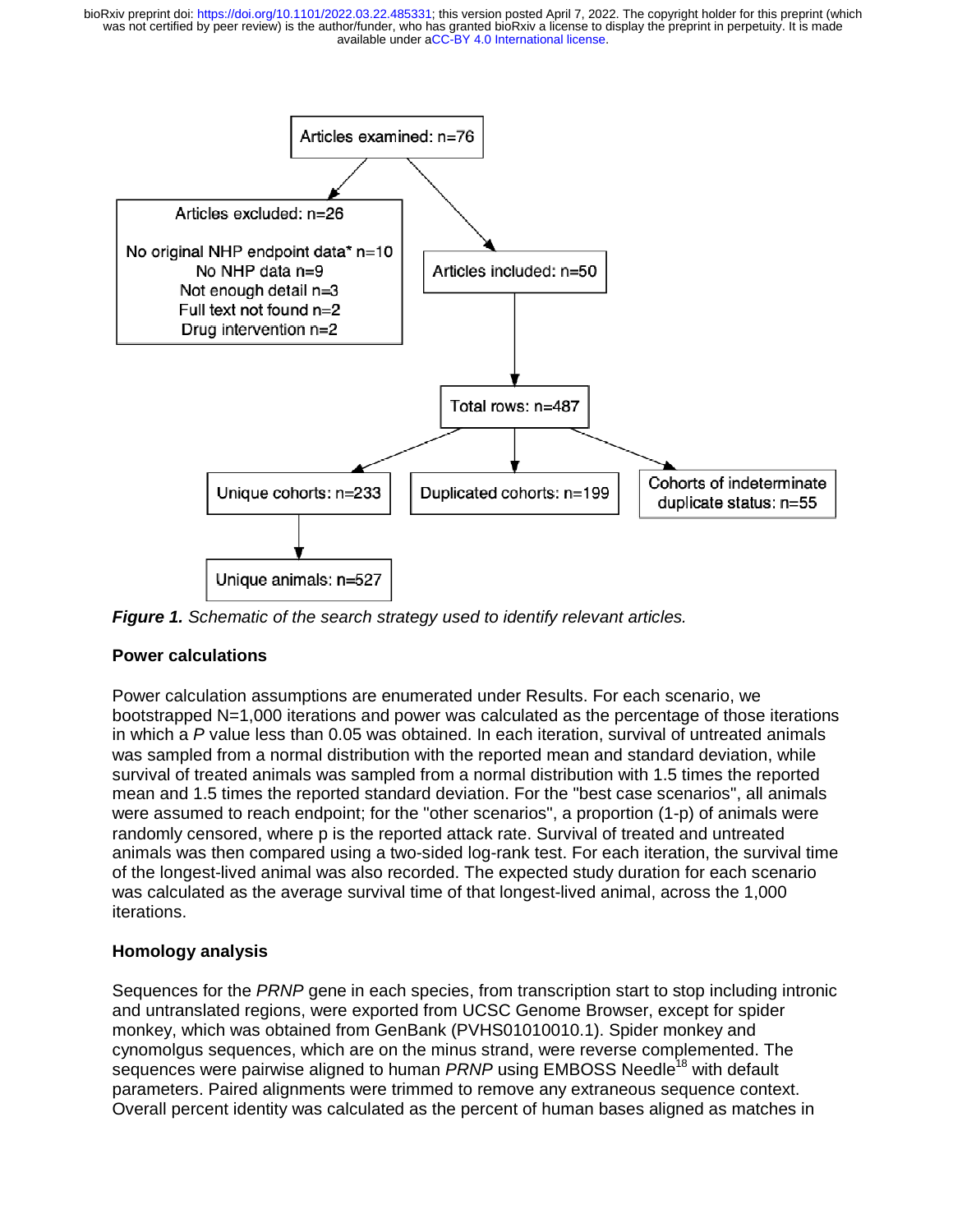was not certified by peer review) is the author/funder, who has granted bioRxiv a license to display the preprint in perpetuity. It is made bioRxiv preprint doi: [https://doi.org/10.1101/2022.03.22.485331;](https://doi.org/10.1101/2022.03.22.485331) this version posted April 7, 2022. The copyright holder for this preprint (which



*Figure 1. Schematic of the search strategy used to identify relevant articles.* 

## **Power calculations**

Power calculation assumptions are enumerated under Results. For each scenario, we bootstrapped N=1,000 iterations and power was calculated as the percentage of those iterations in which a *P* value less than 0.05 was obtained. In each iteration, survival of untreated animals was sampled from a normal distribution with the reported mean and standard deviation, while survival of treated animals was sampled from a normal distribution with 1.5 times the reported mean and 1.5 times the reported standard deviation. For the "best case scenarios", all animals were assumed to reach endpoint; for the "other scenarios", a proportion (1-p) of animals were randomly censored, where p is the reported attack rate. Survival of treated and untreated animals was then compared using a two-sided log-rank test. For each iteration, the survival time of the longest-lived animal was also recorded. The expected study duration for each scenario was calculated as the average survival time of that longest-lived animal, across the 1,000 iterations.

## **Homology analysis**

Sequences for the *PRNP* gene in each species, from transcription start to stop including intronic and untranslated regions, were exported from UCSC Genome Browser, except for spider monkey, which was obtained from GenBank (PVHS01010010.1). Spider monkey and cynomolgus sequences, which are on the minus strand, were reverse complemented. The sequences were pairwise aligned to human *PRNP* using EMBOSS Needle<sup>18</sup> with default parameters. Paired alignments were trimmed to remove any extraneous sequence context. Overall percent identity was calculated as the percent of human bases aligned as matches in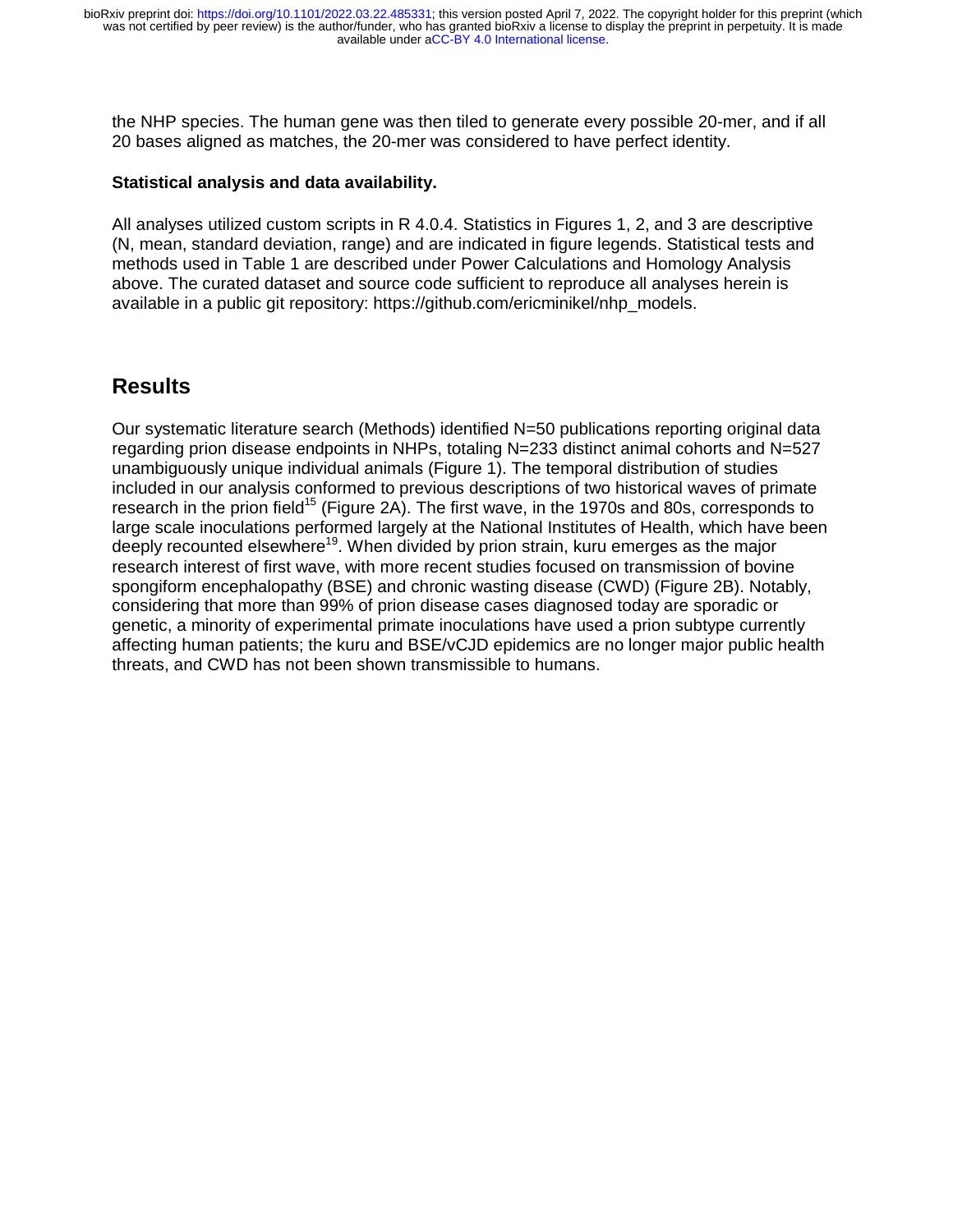the NHP species. The human gene was then tiled to generate every possible 20-mer, and if all 20 bases aligned as matches, the 20-mer was considered to have perfect identity.

#### **Statistical analysis and data availability.**

All analyses utilized custom scripts in R 4.0.4. Statistics in Figures 1, 2, and 3 are descriptive (N, mean, standard deviation, range) and are indicated in figure legends. Statistical tests and methods used in Table 1 are described under Power Calculations and Homology Analysis above. The curated dataset and source code sufficient to reproduce all analyses herein is available in a public git repository: https://github.com/ericminikel/nhp\_models.

## **Results**

Our systematic literature search (Methods) identified N=50 publications reporting original data regarding prion disease endpoints in NHPs, totaling N=233 distinct animal cohorts and N=527 unambiguously unique individual animals (Figure 1). The temporal distribution of studies included in our analysis conformed to previous descriptions of two historical waves of primate research in the prion field<sup>15</sup> (Figure 2A). The first wave, in the 1970s and 80s, corresponds to large scale inoculations performed largely at the National Institutes of Health, which have been deeply recounted elsewhere<sup>19</sup>. When divided by prion strain, kuru emerges as the major research interest of first wave, with more recent studies focused on transmission of bovine spongiform encephalopathy (BSE) and chronic wasting disease (CWD) (Figure 2B). Notably, considering that more than 99% of prion disease cases diagnosed today are sporadic or genetic, a minority of experimental primate inoculations have used a prion subtype currently affecting human patients; the kuru and BSE/vCJD epidemics are no longer major public health threats, and CWD has not been shown transmissible to humans.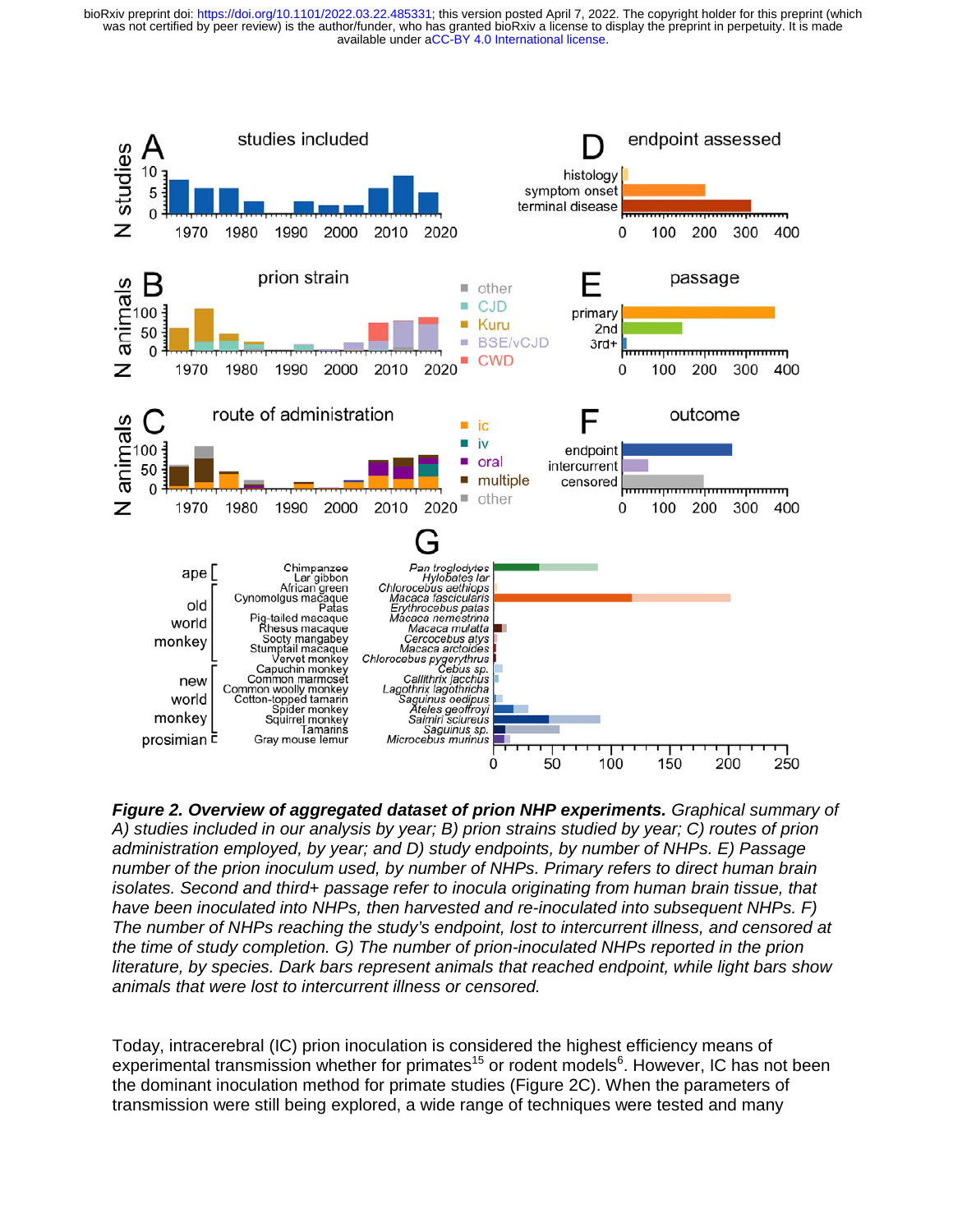was not certified by peer review) is the author/funder, who has granted bioRxiv a license to display the preprint in perpetuity. It is made<br>available under aCC-BY 4.0 International license. bioRxiv preprint doi: [https://doi.org/10.1101/2022.03.22.485331;](https://doi.org/10.1101/2022.03.22.485331) this version posted April 7, 2022. The copyright holder for this preprint (which



*Figure 2. Overview of aggregated dataset of prion NHP experiments. Graphical summary of A) studies included in our analysis by year; B) prion strains studied by year; C) routes of prion administration employed, by year; and D) study endpoints, by number of NHPs. E) Passage number of the prion inoculum used, by number of NHPs. Primary refers to direct human brain isolates. Second and third*+ *passage refer to inocula originating from human brain tissue, that have been inoculated into NHPs, then harvested and re-inoculated into subsequent NHPs. F) The number of NHPs reaching the study's endpoint, lost to intercurrent illness, and censored at the time of study completion. G) The number of prion-inoculated NHPs reported in the prion literature, by species. Dark bars represent animals that reached endpoint, while light bars show animals that were lost to intercurrent illness or censored.*

Today, intracerebral (IC) prion inoculation is considered the highest efficiency means of experimental transmission whether for primates<sup>15</sup> or rodent models<sup>6</sup>. However, IC has not been the dominant inoculation method for primate studies (Figure 2C). When the parameters of transmission were still being explored, a wide range of techniques were tested and many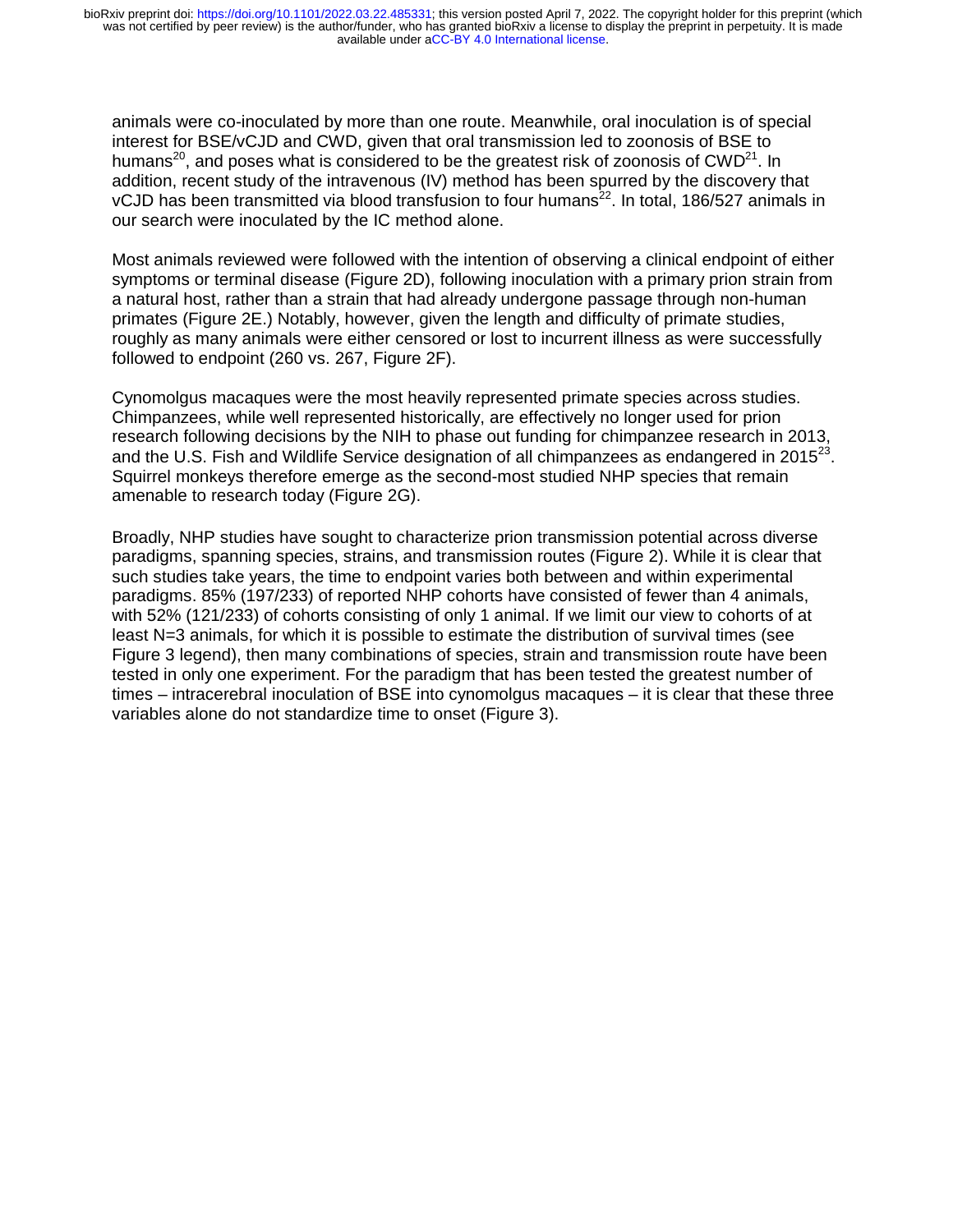available under [aCC-BY 4.0 International license.](http://creativecommons.org/licenses/by/4.0/) was not certified by peer review) is the author/funder, who has granted bioRxiv a license to display the preprint in perpetuity. It is made bioRxiv preprint doi: [https://doi.org/10.1101/2022.03.22.485331;](https://doi.org/10.1101/2022.03.22.485331) this version posted April 7, 2022. The copyright holder for this preprint (which

animals were co-inoculated by more than one route. Meanwhile, oral inoculation is of special interest for BSE/vCJD and CWD, given that oral transmission led to zoonosis of BSE to humans<sup>20</sup>, and poses what is considered to be the greatest risk of zoonosis of  $\text{CWD}^{21}$ . In addition, recent study of the intravenous (IV) method has been spurred by the discovery that vCJD has been transmitted via blood transfusion to four humans<sup>22</sup>. In total, 186/527 animals in our search were inoculated by the IC method alone.

Most animals reviewed were followed with the intention of observing a clinical endpoint of either symptoms or terminal disease (Figure 2D), following inoculation with a primary prion strain from a natural host, rather than a strain that had already undergone passage through non-human primates (Figure 2E.) Notably, however, given the length and difficulty of primate studies, roughly as many animals were either censored or lost to incurrent illness as were successfully followed to endpoint (260 vs. 267, Figure 2F).

Cynomolgus macaques were the most heavily represented primate species across studies. Chimpanzees, while well represented historically, are effectively no longer used for prion research following decisions by the NIH to phase out funding for chimpanzee research in 2013, and the U.S. Fish and Wildlife Service designation of all chimpanzees as endangered in  $2015^{23}$ . Squirrel monkeys therefore emerge as the second-most studied NHP species that remain amenable to research today (Figure 2G).

Broadly, NHP studies have sought to characterize prion transmission potential across diverse paradigms, spanning species, strains, and transmission routes (Figure 2). While it is clear that such studies take years, the time to endpoint varies both between and within experimental paradigms. 85% (197/233) of reported NHP cohorts have consisted of fewer than 4 animals, with 52% (121/233) of cohorts consisting of only 1 animal. If we limit our view to cohorts of at least N=3 animals, for which it is possible to estimate the distribution of survival times (see Figure 3 legend), then many combinations of species, strain and transmission route have been tested in only one experiment. For the paradigm that has been tested the greatest number of times – intracerebral inoculation of BSE into cynomolgus macaques – it is clear that these three variables alone do not standardize time to onset (Figure 3).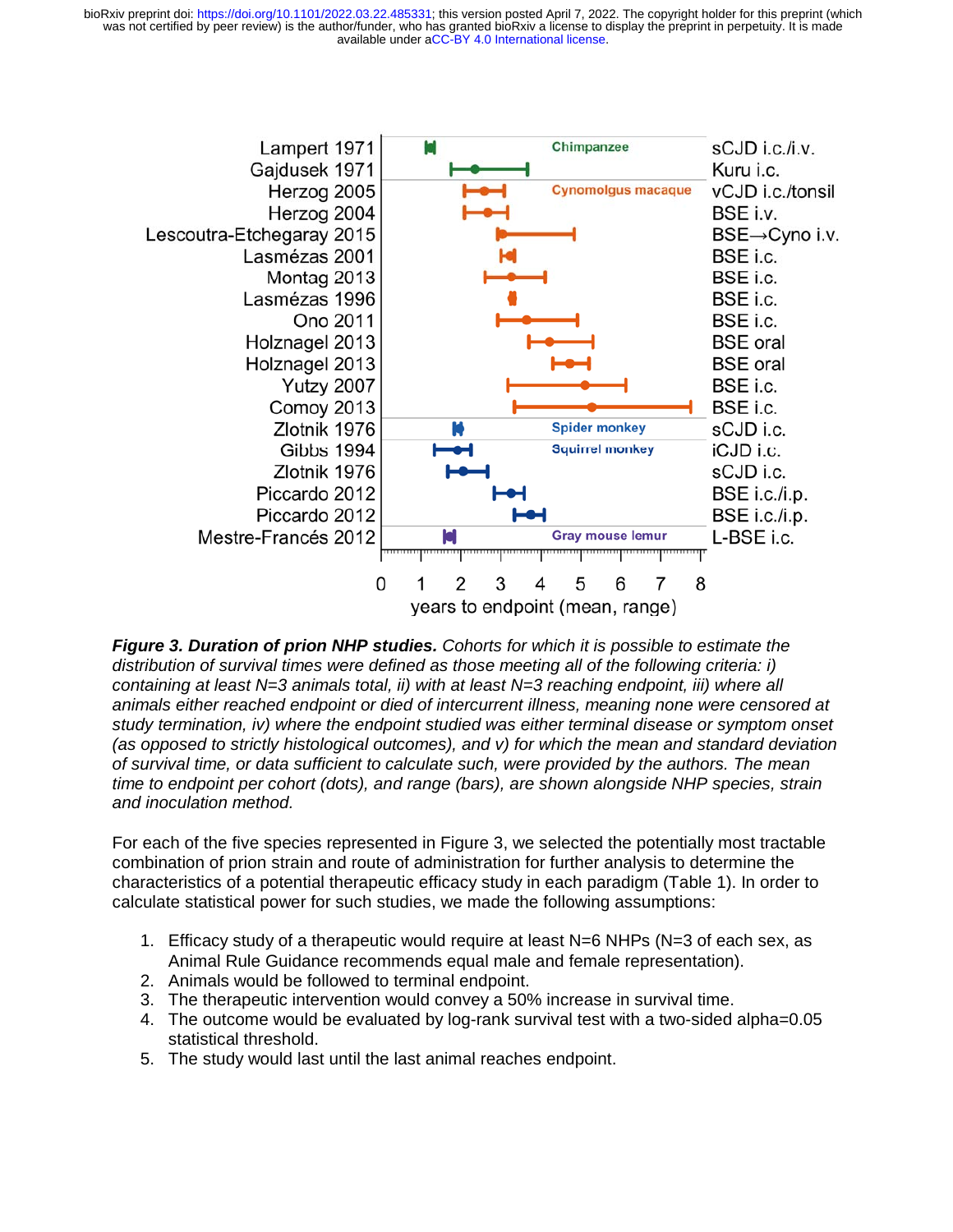was not certified by peer review) is the author/funder, who has granted bioRxiv a license to display the preprint in perpetuity. It is made bioRxiv preprint doi: [https://doi.org/10.1101/2022.03.22.485331;](https://doi.org/10.1101/2022.03.22.485331) this version posted April 7, 2022. The copyright holder for this preprint (which



*Figure 3. Duration of prion NHP studies. Cohorts for which it is possible to estimate the distribution of survival times were defined as those meeting all of the following criteria: i) containing at least N=3 animals total, ii) with at least N=3 reaching endpoint, iii) where all animals either reached endpoint or died of intercurrent illness, meaning none were censored at study termination, iv) where the endpoint studied was either terminal disease or symptom onset (as opposed to strictly histological outcomes), and v) for which the mean and standard deviation of survival time, or data sufficient to calculate such, were provided by the authors. The mean time to endpoint per cohort (dots), and range (bars), are shown alongside NHP species, strain and inoculation method.*

For each of the five species represented in Figure 3, we selected the potentially most tractable combination of prion strain and route of administration for further analysis to determine the characteristics of a potential therapeutic efficacy study in each paradigm (Table 1). In order to calculate statistical power for such studies, we made the following assumptions:

- 1. Efficacy study of a therapeutic would require at least N=6 NHPs (N=3 of each sex, as Animal Rule Guidance recommends equal male and female representation).
- 2. Animals would be followed to terminal endpoint.
- 3. The therapeutic intervention would convey a 50% increase in survival time.
- 4. The outcome would be evaluated by log-rank survival test with a two-sided alpha=0.05 statistical threshold.
- 5. The study would last until the last animal reaches endpoint.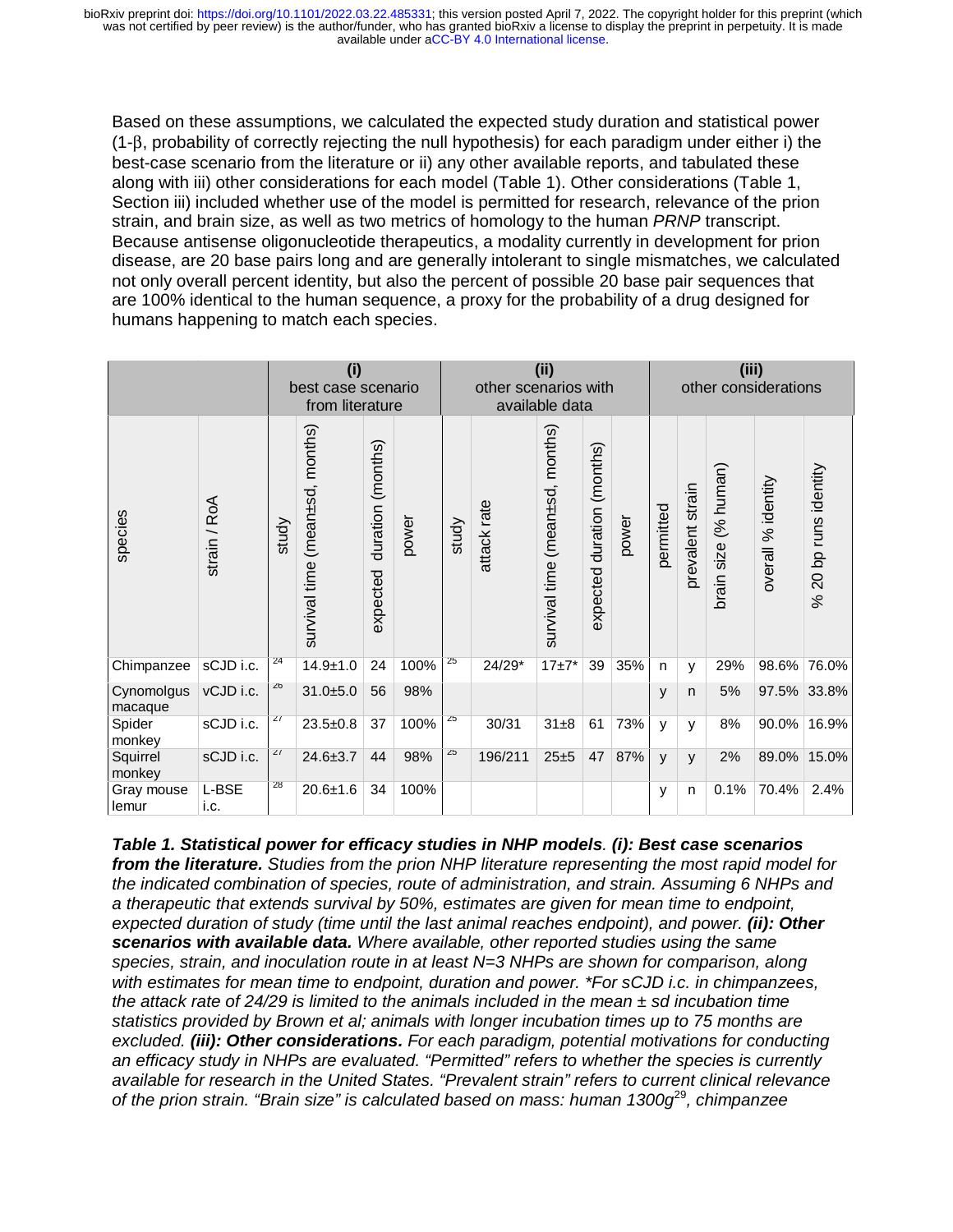available under [aCC-BY 4.0 International license.](http://creativecommons.org/licenses/by/4.0/) was not certified by peer review) is the author/funder, who has granted bioRxiv a license to display the preprint in perpetuity. It is made bioRxiv preprint doi: [https://doi.org/10.1101/2022.03.22.485331;](https://doi.org/10.1101/2022.03.22.485331) this version posted April 7, 2022. The copyright holder for this preprint (which

Based on these assumptions, we calculated the expected study duration and statistical power (1-β, probability of correctly rejecting the null hypothesis) for each paradigm under either i) the best-case scenario from the literature or ii) any other available reports, and tabulated these along with iii) other considerations for each model (Table 1). Other considerations (Table 1, Section iii) included whether use of the model is permitted for research, relevance of the prion strain, and brain size, as well as two metrics of homology to the human *PRNP* transcript. Because antisense oligonucleotide therapeutics, a modality currently in development for prion disease, are 20 base pairs long and are generally intolerant to single mismatches, we calculated not only overall percent identity, but also the percent of possible 20 base pair sequences that are 100% identical to the human sequence, a proxy for the probability of a drug designed for humans happening to match each species.

|                       |               | (i)<br>best case scenario<br>from literature |                                    |                                  |       | (iii)<br>other scenarios with<br>available data |             |                                 |                                  |       | (iii)<br>other considerations |                  |                         |                    |                                 |
|-----------------------|---------------|----------------------------------------------|------------------------------------|----------------------------------|-------|-------------------------------------------------|-------------|---------------------------------|----------------------------------|-------|-------------------------------|------------------|-------------------------|--------------------|---------------------------------|
| species               | strain / RoA  | study                                        | (mean±sd, months)<br>survival time | (months)<br>duration<br>expected | power | study                                           | attack rate | survival time (mean±sd, months) | (months)<br>duration<br>expected | power | permitted                     | prevalent strain | (% human)<br>brain size | overall % identity | 20 bp runs identity<br>$\infty$ |
| Chimpanzee            | sCJD i.c.     | 24                                           | $14.9 + 1.0$                       | 24                               | 100%  | 25                                              | 24/29*      | $17 + 7*$                       | 39                               | 35%   | n                             | У                | 29%                     | 98.6%              | 76.0%                           |
| Cynomolgus<br>macaque | vCJD i.c.     | 26                                           | $31.0 + 5.0$                       | 56                               | 98%   |                                                 |             |                                 |                                  |       | y                             | n                | 5%                      |                    | 97.5% 33.8%                     |
| Spider<br>monkey      | sCJD i.c.     | 27                                           | $23.5 \pm 0.8$                     | 37                               | 100%  | 25                                              | 30/31       | $31\pm8$                        | 61                               | 73%   | y                             | y                | 8%                      | 90.0%              | 16.9%                           |
| Squirrel<br>monkey    | sCJD i.c.     | 27                                           | $24.6 \pm 3.7$                     | 44                               | 98%   | 25                                              | 196/211     | $25 + 5$                        | 47                               | 87%   | $\mathsf{v}$                  | У                | 2%                      | 89.0%              | 15.0%                           |
| Gray mouse<br>lemur   | L-BSE<br>i.c. | 28                                           | $20.6 + 1.6$                       | 34                               | 100%  |                                                 |             |                                 |                                  |       | y                             | n                | 0.1%                    | 70.4%              | 2.4%                            |

*Table 1. Statistical power for efficacy studies in NHP models. (i): Best case scenarios from the literature. Studies from the prion NHP literature representing the most rapid model for the indicated combination of species, route of administration, and strain. Assuming 6 NHPs and a therapeutic that extends survival by 50%, estimates are given for mean time to endpoint,*  expected duration of study (time until the last animal reaches endpoint), and power. (ii): Other *scenarios with available data. Where available, other reported studies using the same species, strain, and inoculation route in at least N=3 NHPs are shown for comparison, along with estimates for mean time to endpoint, duration and power. \*For sCJD i.c. in chimpanzees, the attack rate of 24/29 is limited to the animals included in the mean ± sd incubation time statistics provided by Brown et al; animals with longer incubation times up to 75 months are excluded. (iii): Other considerations. For each paradigm, potential motivations for conducting an efficacy study in NHPs are evaluated. "Permitted" refers to whether the species is currently available for research in the United States. "Prevalent strain" refers to current clinical relevance of the prion strain. "Brain size" is calculated based on mass: human 1300g*<sup>29</sup>*, chimpanzee*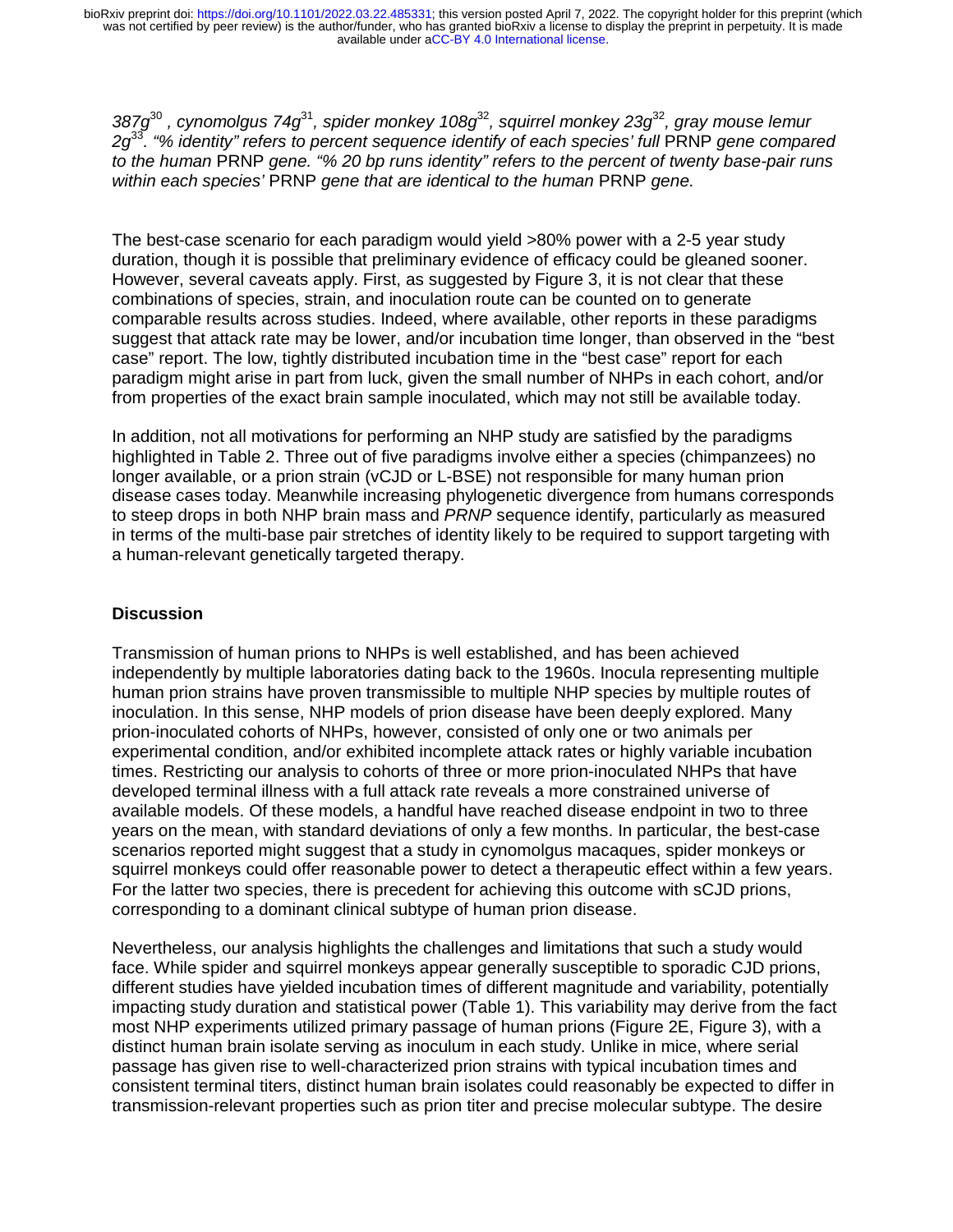available under [aCC-BY 4.0 International license.](http://creativecommons.org/licenses/by/4.0/) was not certified by peer review) is the author/funder, who has granted bioRxiv a license to display the preprint in perpetuity. It is made bioRxiv preprint doi: [https://doi.org/10.1101/2022.03.22.485331;](https://doi.org/10.1101/2022.03.22.485331) this version posted April 7, 2022. The copyright holder for this preprint (which

*387g*<sup>30</sup> *, cynomolgus 74g*<sup>31</sup>*, spider monkey 108g*<sup>32</sup>*, squirrel monkey 23g*<sup>32</sup>*, gray mouse lemur*  2g<sup>33</sup>. "% identity" refers to percent sequence identify of each species' full PRNP gene compared *to the human* PRNP *gene. "% 20 bp runs identity" refers to the percent of twenty base-pair runs within each species'* PRNP *gene that are identical to the human* PRNP *gene.* 

The best-case scenario for each paradigm would yield >80% power with a 2-5 year study duration, though it is possible that preliminary evidence of efficacy could be gleaned sooner. However, several caveats apply. First, as suggested by Figure 3, it is not clear that these combinations of species, strain, and inoculation route can be counted on to generate comparable results across studies. Indeed, where available, other reports in these paradigms suggest that attack rate may be lower, and/or incubation time longer, than observed in the "best case" report. The low, tightly distributed incubation time in the "best case" report for each paradigm might arise in part from luck, given the small number of NHPs in each cohort, and/or from properties of the exact brain sample inoculated, which may not still be available today.

In addition, not all motivations for performing an NHP study are satisfied by the paradigms highlighted in Table 2. Three out of five paradigms involve either a species (chimpanzees) no longer available, or a prion strain (vCJD or L-BSE) not responsible for many human prion disease cases today. Meanwhile increasing phylogenetic divergence from humans corresponds to steep drops in both NHP brain mass and *PRNP* sequence identify, particularly as measured in terms of the multi-base pair stretches of identity likely to be required to support targeting with a human-relevant genetically targeted therapy.

#### **Discussion**

Transmission of human prions to NHPs is well established, and has been achieved independently by multiple laboratories dating back to the 1960s. Inocula representing multiple human prion strains have proven transmissible to multiple NHP species by multiple routes of inoculation. In this sense, NHP models of prion disease have been deeply explored. Many prion-inoculated cohorts of NHPs, however, consisted of only one or two animals per experimental condition, and/or exhibited incomplete attack rates or highly variable incubation times. Restricting our analysis to cohorts of three or more prion-inoculated NHPs that have developed terminal illness with a full attack rate reveals a more constrained universe of available models. Of these models, a handful have reached disease endpoint in two to three years on the mean, with standard deviations of only a few months. In particular, the best-case scenarios reported might suggest that a study in cynomolgus macaques, spider monkeys or squirrel monkeys could offer reasonable power to detect a therapeutic effect within a few years. For the latter two species, there is precedent for achieving this outcome with sCJD prions, corresponding to a dominant clinical subtype of human prion disease.

Nevertheless, our analysis highlights the challenges and limitations that such a study would face. While spider and squirrel monkeys appear generally susceptible to sporadic CJD prions, different studies have yielded incubation times of different magnitude and variability, potentially impacting study duration and statistical power (Table 1). This variability may derive from the fact most NHP experiments utilized primary passage of human prions (Figure 2E, Figure 3), with a distinct human brain isolate serving as inoculum in each study. Unlike in mice, where serial passage has given rise to well-characterized prion strains with typical incubation times and consistent terminal titers, distinct human brain isolates could reasonably be expected to differ in transmission-relevant properties such as prion titer and precise molecular subtype. The desire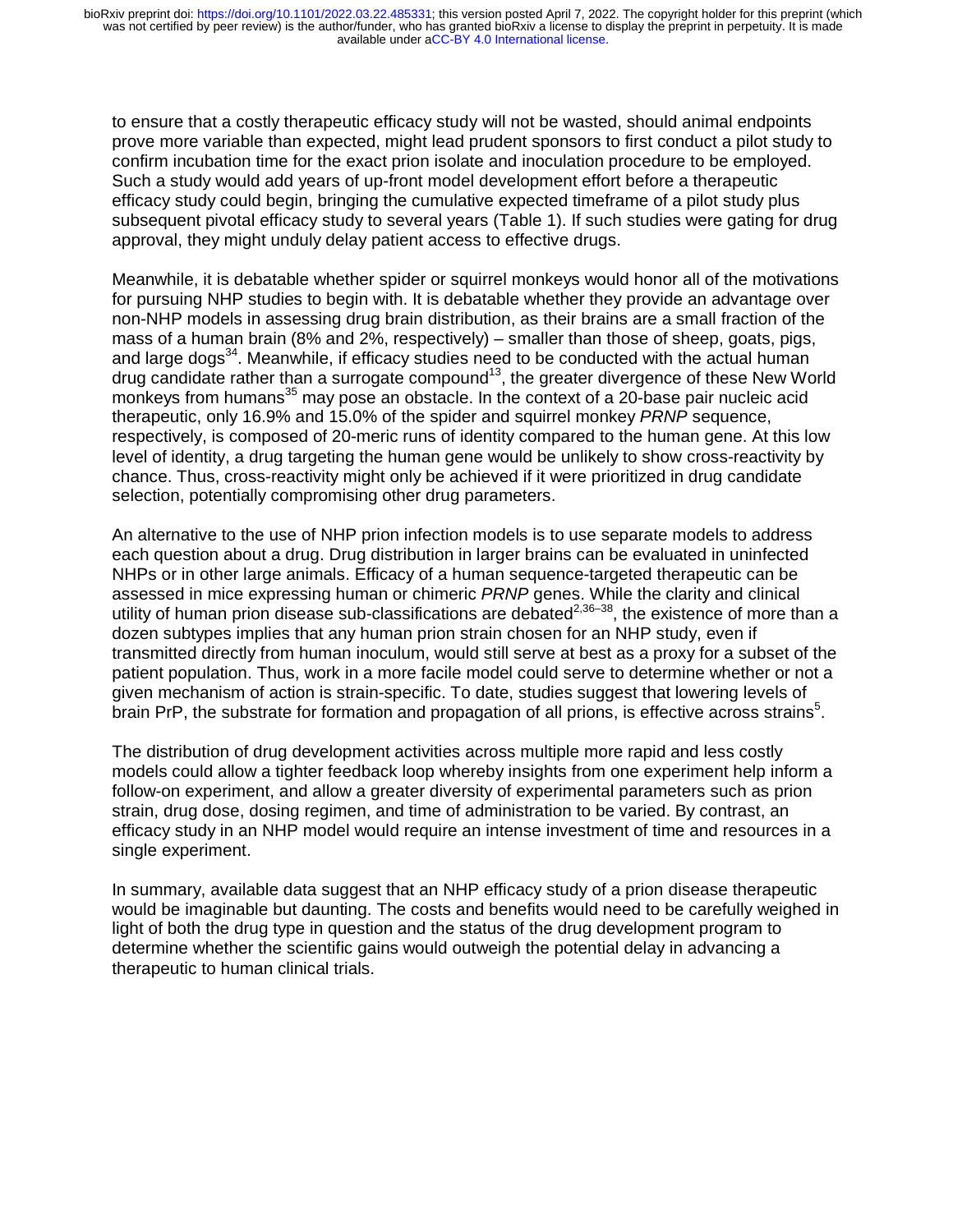to ensure that a costly therapeutic efficacy study will not be wasted, should animal endpoints prove more variable than expected, might lead prudent sponsors to first conduct a pilot study to confirm incubation time for the exact prion isolate and inoculation procedure to be employed. Such a study would add years of up-front model development effort before a therapeutic efficacy study could begin, bringing the cumulative expected timeframe of a pilot study plus subsequent pivotal efficacy study to several years (Table 1). If such studies were gating for drug approval, they might unduly delay patient access to effective drugs.

Meanwhile, it is debatable whether spider or squirrel monkeys would honor all of the motivations for pursuing NHP studies to begin with. It is debatable whether they provide an advantage over non-NHP models in assessing drug brain distribution, as their brains are a small fraction of the mass of a human brain (8% and 2%, respectively) – smaller than those of sheep, goats, pigs, and large dogs<sup>34</sup>. Meanwhile, if efficacy studies need to be conducted with the actual human drug candidate rather than a surrogate compound13, the greater divergence of these New World monkevs from humans<sup>35</sup> may pose an obstacle. In the context of a 20-base pair nucleic acid therapeutic, only 16.9% and 15.0% of the spider and squirrel monkey *PRNP* sequence, respectively, is composed of 20-meric runs of identity compared to the human gene. At this low level of identity, a drug targeting the human gene would be unlikely to show cross-reactivity by chance. Thus, cross-reactivity might only be achieved if it were prioritized in drug candidate selection, potentially compromising other drug parameters.

An alternative to the use of NHP prion infection models is to use separate models to address each question about a drug. Drug distribution in larger brains can be evaluated in uninfected NHPs or in other large animals. Efficacy of a human sequence-targeted therapeutic can be assessed in mice expressing human or chimeric *PRNP* genes. While the clarity and clinical utility of human prion disease sub-classifications are debated<sup>2,36–38</sup>, the existence of more than a dozen subtypes implies that any human prion strain chosen for an NHP study, even if transmitted directly from human inoculum, would still serve at best as a proxy for a subset of the patient population. Thus, work in a more facile model could serve to determine whether or not a given mechanism of action is strain-specific. To date, studies suggest that lowering levels of brain PrP, the substrate for formation and propagation of all prions, is effective across strains<sup>5</sup>.

The distribution of drug development activities across multiple more rapid and less costly models could allow a tighter feedback loop whereby insights from one experiment help inform a follow-on experiment, and allow a greater diversity of experimental parameters such as prion strain, drug dose, dosing regimen, and time of administration to be varied. By contrast, an efficacy study in an NHP model would require an intense investment of time and resources in a single experiment.

In summary, available data suggest that an NHP efficacy study of a prion disease therapeutic would be imaginable but daunting. The costs and benefits would need to be carefully weighed in light of both the drug type in question and the status of the drug development program to determine whether the scientific gains would outweigh the potential delay in advancing a therapeutic to human clinical trials.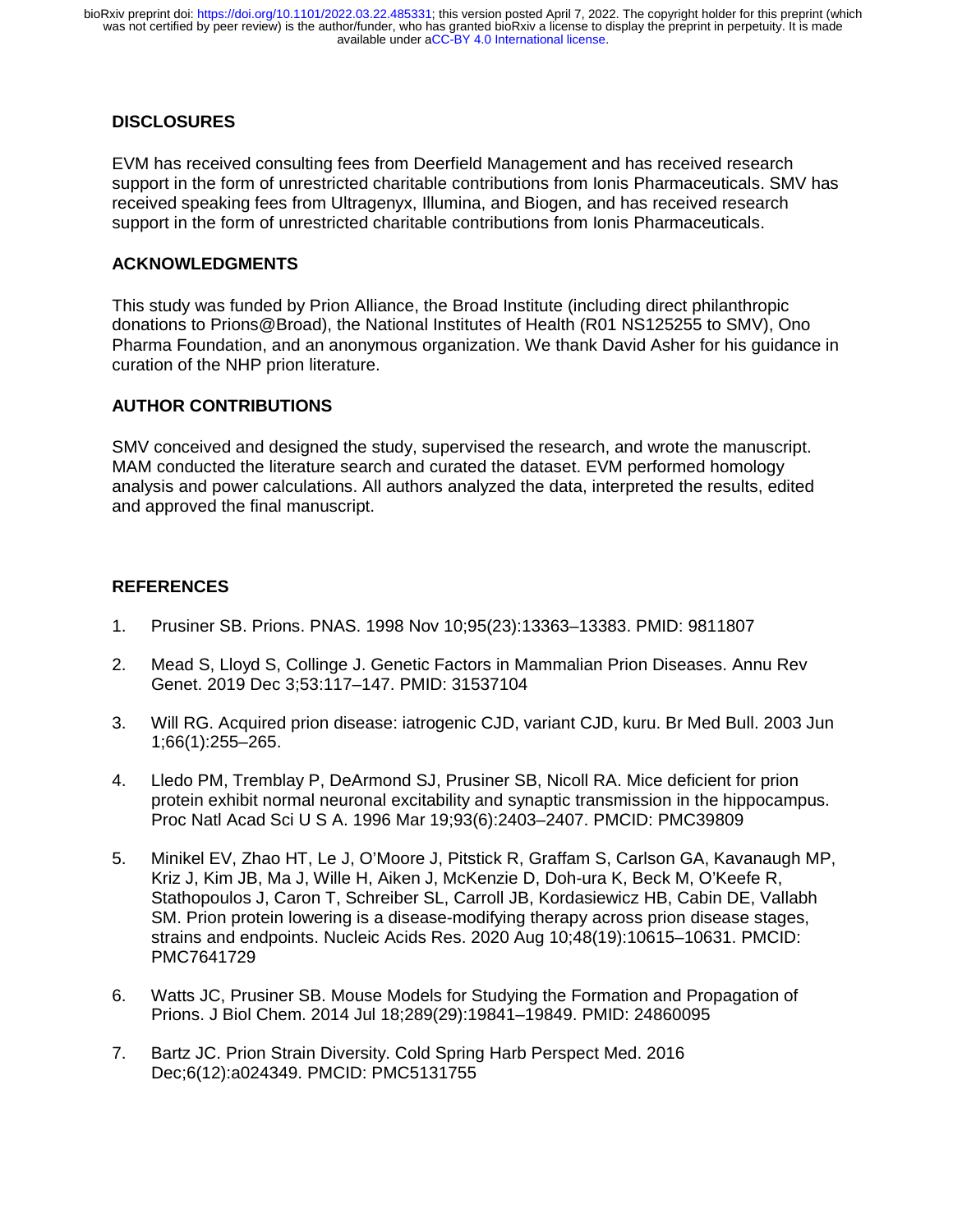## **DISCLOSURES**

EVM has received consulting fees from Deerfield Management and has received research support in the form of unrestricted charitable contributions from Ionis Pharmaceuticals. SMV has received speaking fees from Ultragenyx, Illumina, and Biogen, and has received research support in the form of unrestricted charitable contributions from Ionis Pharmaceuticals.

#### **ACKNOWLEDGMENTS**

This study was funded by Prion Alliance, the Broad Institute (including direct philanthropic donations to Prions@Broad), the National Institutes of Health (R01 NS125255 to SMV), Ono Pharma Foundation, and an anonymous organization. We thank David Asher for his guidance in curation of the NHP prion literature.

## **AUTHOR CONTRIBUTIONS**

SMV conceived and designed the study, supervised the research, and wrote the manuscript. MAM conducted the literature search and curated the dataset. EVM performed homology analysis and power calculations. All authors analyzed the data, interpreted the results, edited and approved the final manuscript.

#### **REFERENCES**

- 1. Prusiner SB. Prions. PNAS. 1998 Nov 10;95(23):13363–13383. PMID: 9811807
- 2. Mead S, Lloyd S, Collinge J. Genetic Factors in Mammalian Prion Diseases. Annu Rev Genet. 2019 Dec 3;53:117–147. PMID: 31537104
- 3. Will RG. Acquired prion disease: iatrogenic CJD, variant CJD, kuru. Br Med Bull. 2003 Jun 1;66(1):255–265.
- 4. Lledo PM, Tremblay P, DeArmond SJ, Prusiner SB, Nicoll RA. Mice deficient for prion protein exhibit normal neuronal excitability and synaptic transmission in the hippocampus. Proc Natl Acad Sci U S A. 1996 Mar 19;93(6):2403–2407. PMCID: PMC39809
- 5. Minikel EV, Zhao HT, Le J, O'Moore J, Pitstick R, Graffam S, Carlson GA, Kavanaugh MP, Kriz J, Kim JB, Ma J, Wille H, Aiken J, McKenzie D, Doh-ura K, Beck M, O'Keefe R, Stathopoulos J, Caron T, Schreiber SL, Carroll JB, Kordasiewicz HB, Cabin DE, Vallabh SM. Prion protein lowering is a disease-modifying therapy across prion disease stages, strains and endpoints. Nucleic Acids Res. 2020 Aug 10;48(19):10615–10631. PMCID: PMC7641729
- 6. Watts JC, Prusiner SB. Mouse Models for Studying the Formation and Propagation of Prions. J Biol Chem. 2014 Jul 18;289(29):19841–19849. PMID: 24860095
- 7. Bartz JC. Prion Strain Diversity. Cold Spring Harb Perspect Med. 2016 Dec;6(12):a024349. PMCID: PMC5131755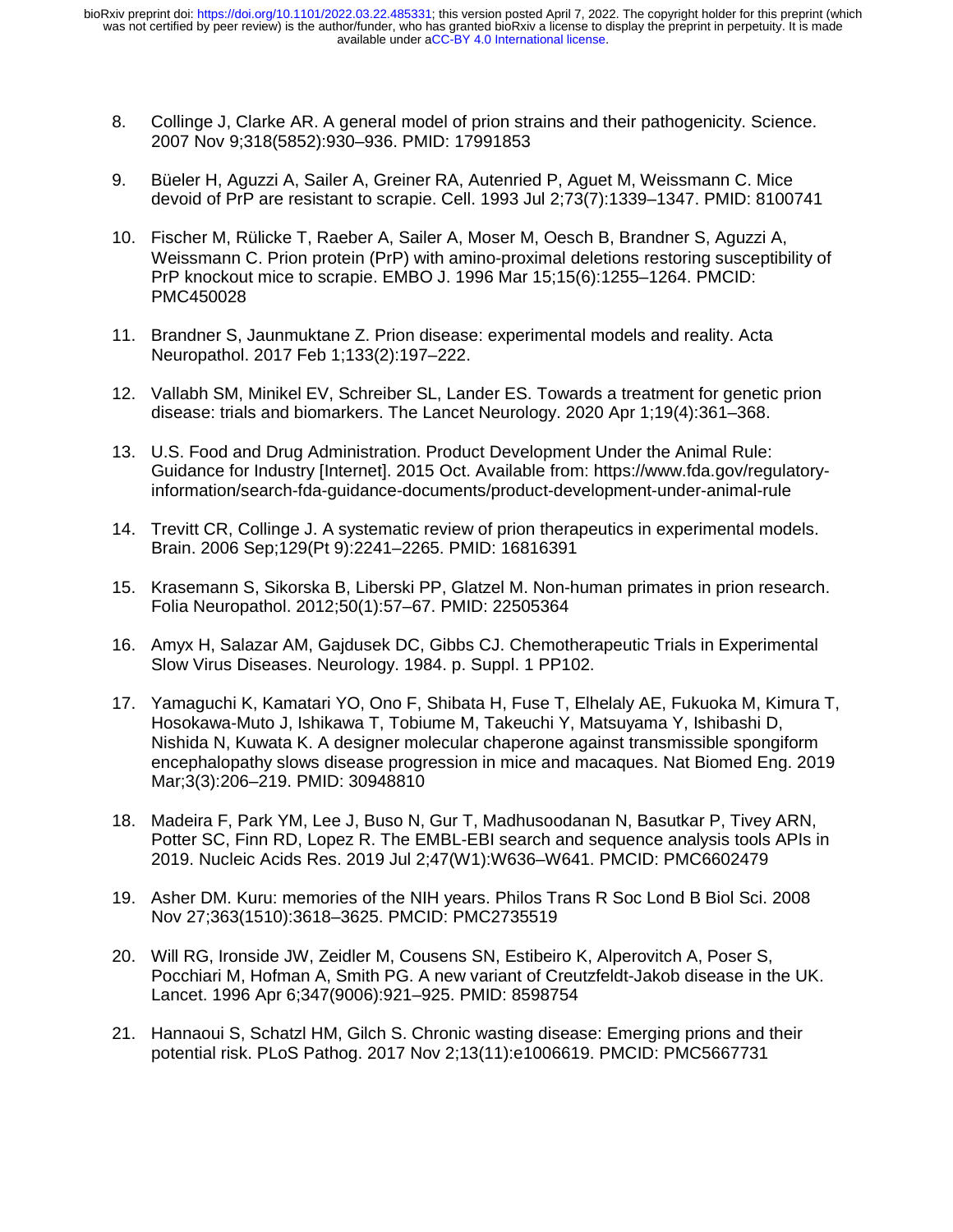- 8. Collinge J, Clarke AR. A general model of prion strains and their pathogenicity. Science. 2007 Nov 9;318(5852):930–936. PMID: 17991853
- 9. Büeler H, Aguzzi A, Sailer A, Greiner RA, Autenried P, Aguet M, Weissmann C. Mice devoid of PrP are resistant to scrapie. Cell. 1993 Jul 2;73(7):1339–1347. PMID: 8100741
- 10. Fischer M, Rülicke T, Raeber A, Sailer A, Moser M, Oesch B, Brandner S, Aguzzi A, Weissmann C. Prion protein (PrP) with amino-proximal deletions restoring susceptibility of PrP knockout mice to scrapie. EMBO J. 1996 Mar 15;15(6):1255–1264. PMCID: PMC450028
- 11. Brandner S, Jaunmuktane Z. Prion disease: experimental models and reality. Acta Neuropathol. 2017 Feb 1;133(2):197–222.
- 12. Vallabh SM, Minikel EV, Schreiber SL, Lander ES. Towards a treatment for genetic prion disease: trials and biomarkers. The Lancet Neurology. 2020 Apr 1;19(4):361–368.
- 13. U.S. Food and Drug Administration. Product Development Under the Animal Rule: Guidance for Industry [Internet]. 2015 Oct. Available from: https://www.fda.gov/regulatoryinformation/search-fda-guidance-documents/product-development-under-animal-rule
- 14. Trevitt CR, Collinge J. A systematic review of prion therapeutics in experimental models. Brain. 2006 Sep;129(Pt 9):2241–2265. PMID: 16816391
- 15. Krasemann S, Sikorska B, Liberski PP, Glatzel M. Non-human primates in prion research. Folia Neuropathol. 2012;50(1):57–67. PMID: 22505364
- 16. Amyx H, Salazar AM, Gajdusek DC, Gibbs CJ. Chemotherapeutic Trials in Experimental Slow Virus Diseases. Neurology. 1984. p. Suppl. 1 PP102.
- 17. Yamaguchi K, Kamatari YO, Ono F, Shibata H, Fuse T, Elhelaly AE, Fukuoka M, Kimura T, Hosokawa-Muto J, Ishikawa T, Tobiume M, Takeuchi Y, Matsuyama Y, Ishibashi D, Nishida N, Kuwata K. A designer molecular chaperone against transmissible spongiform encephalopathy slows disease progression in mice and macaques. Nat Biomed Eng. 2019 Mar;3(3):206–219. PMID: 30948810
- 18. Madeira F, Park YM, Lee J, Buso N, Gur T, Madhusoodanan N, Basutkar P, Tivey ARN, Potter SC, Finn RD, Lopez R. The EMBL-EBI search and sequence analysis tools APIs in 2019. Nucleic Acids Res. 2019 Jul 2;47(W1):W636–W641. PMCID: PMC6602479
- 19. Asher DM. Kuru: memories of the NIH years. Philos Trans R Soc Lond B Biol Sci. 2008 Nov 27;363(1510):3618–3625. PMCID: PMC2735519
- 20. Will RG, Ironside JW, Zeidler M, Cousens SN, Estibeiro K, Alperovitch A, Poser S, Pocchiari M, Hofman A, Smith PG. A new variant of Creutzfeldt-Jakob disease in the UK. Lancet. 1996 Apr 6;347(9006):921–925. PMID: 8598754
- 21. Hannaoui S, Schatzl HM, Gilch S. Chronic wasting disease: Emerging prions and their potential risk. PLoS Pathog. 2017 Nov 2;13(11):e1006619. PMCID: PMC5667731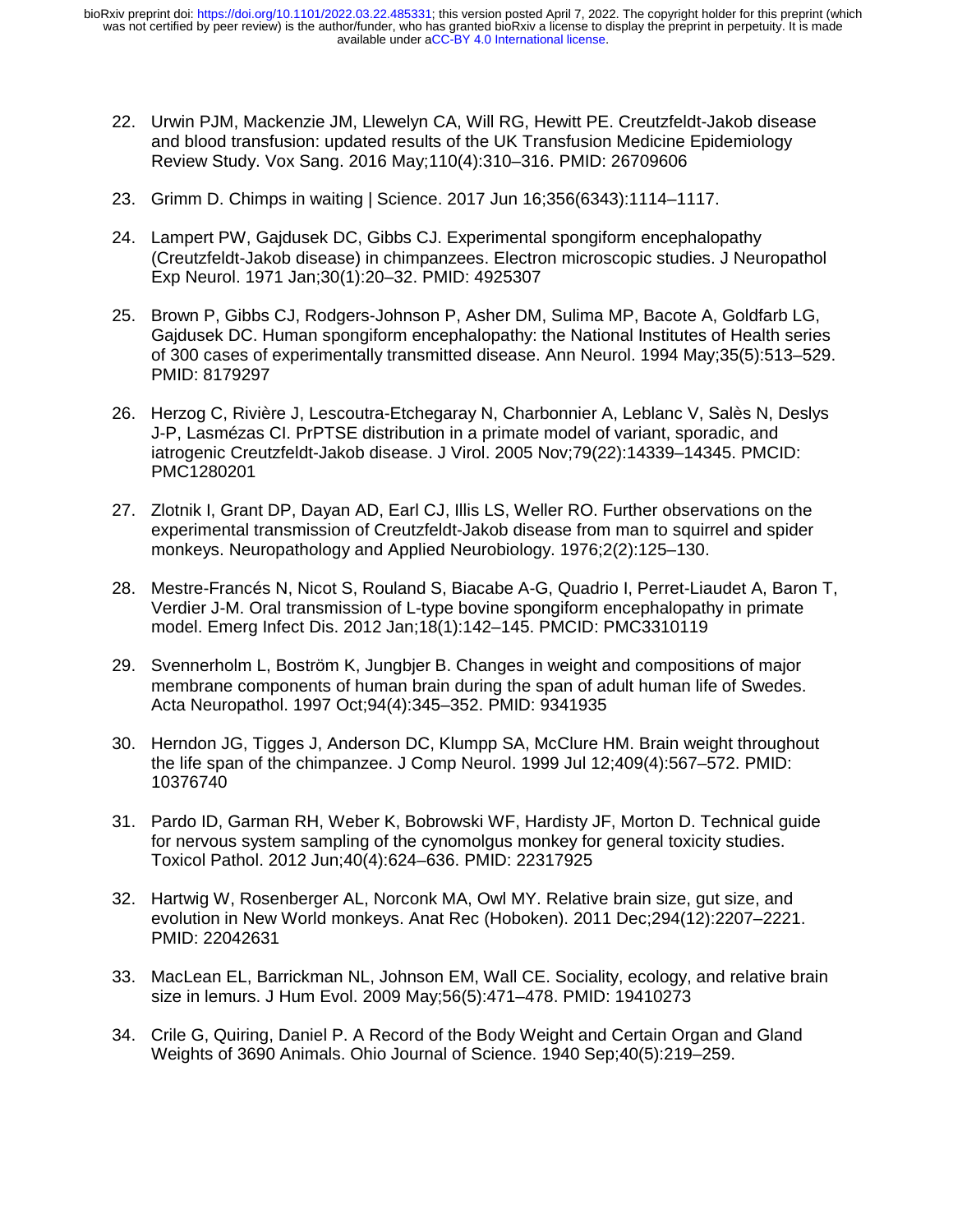- 22. Urwin PJM, Mackenzie JM, Llewelyn CA, Will RG, Hewitt PE. Creutzfeldt-Jakob disease and blood transfusion: updated results of the UK Transfusion Medicine Epidemiology Review Study. Vox Sang. 2016 May;110(4):310–316. PMID: 26709606
- 23. Grimm D. Chimps in waiting | Science. 2017 Jun 16;356(6343):1114–1117.
- 24. Lampert PW, Gajdusek DC, Gibbs CJ. Experimental spongiform encephalopathy (Creutzfeldt-Jakob disease) in chimpanzees. Electron microscopic studies. J Neuropathol Exp Neurol. 1971 Jan;30(1):20–32. PMID: 4925307
- 25. Brown P, Gibbs CJ, Rodgers-Johnson P, Asher DM, Sulima MP, Bacote A, Goldfarb LG, Gajdusek DC. Human spongiform encephalopathy: the National Institutes of Health series of 300 cases of experimentally transmitted disease. Ann Neurol. 1994 May;35(5):513–529. PMID: 8179297
- 26. Herzog C, Rivière J, Lescoutra-Etchegaray N, Charbonnier A, Leblanc V, Salès N, Deslys J-P, Lasmézas CI. PrPTSE distribution in a primate model of variant, sporadic, and iatrogenic Creutzfeldt-Jakob disease. J Virol. 2005 Nov;79(22):14339–14345. PMCID: PMC1280201
- 27. Zlotnik I, Grant DP, Dayan AD, Earl CJ, Illis LS, Weller RO. Further observations on the experimental transmission of Creutzfeldt-Jakob disease from man to squirrel and spider monkeys. Neuropathology and Applied Neurobiology. 1976;2(2):125–130.
- 28. Mestre-Francés N, Nicot S, Rouland S, Biacabe A-G, Quadrio I, Perret-Liaudet A, Baron T, Verdier J-M. Oral transmission of L-type bovine spongiform encephalopathy in primate model. Emerg Infect Dis. 2012 Jan;18(1):142–145. PMCID: PMC3310119
- 29. Svennerholm L, Boström K, Jungbjer B. Changes in weight and compositions of major membrane components of human brain during the span of adult human life of Swedes. Acta Neuropathol. 1997 Oct;94(4):345–352. PMID: 9341935
- 30. Herndon JG, Tigges J, Anderson DC, Klumpp SA, McClure HM. Brain weight throughout the life span of the chimpanzee. J Comp Neurol. 1999 Jul 12;409(4):567–572. PMID: 10376740
- 31. Pardo ID, Garman RH, Weber K, Bobrowski WF, Hardisty JF, Morton D. Technical guide for nervous system sampling of the cynomolgus monkey for general toxicity studies. Toxicol Pathol. 2012 Jun;40(4):624–636. PMID: 22317925
- 32. Hartwig W, Rosenberger AL, Norconk MA, Owl MY. Relative brain size, gut size, and evolution in New World monkeys. Anat Rec (Hoboken). 2011 Dec;294(12):2207–2221. PMID: 22042631
- 33. MacLean EL, Barrickman NL, Johnson EM, Wall CE. Sociality, ecology, and relative brain size in lemurs. J Hum Evol. 2009 May;56(5):471–478. PMID: 19410273
- 34. Crile G, Quiring, Daniel P. A Record of the Body Weight and Certain Organ and Gland Weights of 3690 Animals. Ohio Journal of Science. 1940 Sep;40(5):219–259.